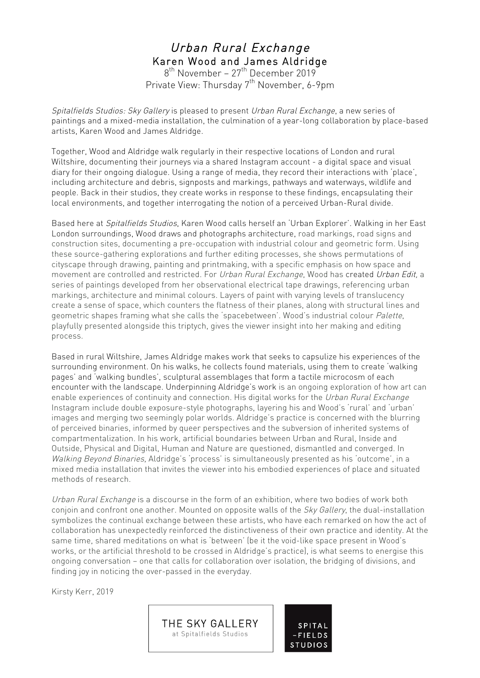# Urban Rural Exchange Karen Wood and James Aldridge

8<sup>th</sup> November – 27<sup>th</sup> December 2019 Private View: Thursday 7<sup>th</sup> November, 6-9pm

Spitalfields Studios: Sky Gallery is pleased to present Urban Rural Exchange, a new series of paintings and a mixed-media installation, the culmination of a year-long collaboration by place-based artists, Karen Wood and James Aldridge.

Together, Wood and Aldridge walk regularly in their respective locations of London and rural Wiltshire, documenting their journeys via a shared Instagram account - a digital space and visual diary for their ongoing dialogue. Using a range of media, they record their interactions with 'place', including architecture and debris, signposts and markings, pathways and waterways, wildlife and people. Back in their studios, they create works in response to these findings, encapsulating their local environments, and together interrogating the notion of a perceived Urban-Rural divide.

Based here at Spitalfields Studios, Karen Wood calls herself an 'Urban Explorer'. Walking in her East London surroundings, Wood draws and photographs architecture, road markings, road signs and construction sites, documenting a pre-occupation with industrial colour and geometric form. Using these source-gathering explorations and further editing processes, she shows permutations of cityscape through drawing, painting and printmaking, with a specific emphasis on how space and movement are controlled and restricted. For Urban Rural Exchange, Wood has created Urban Edit, a series of paintings developed from her observational electrical tape drawings, referencing urban markings, architecture and minimal colours. Layers of paint with varying levels of translucency create a sense of space, which counters the flatness of their planes, along with structural lines and geometric shapes framing what she calls the 'spacebetween'. Wood's industrial colour Palette, playfully presented alongside this triptych, gives the viewer insight into her making and editing process.

Based in rural Wiltshire, James Aldridge makes work that seeks to capsulize his experiences of the surrounding environment. On his walks, he collects found materials, using them to create 'walking pages' and 'walking bundles', sculptural assemblages that form a tactile microcosm of each encounter with the landscape. Underpinning Aldridge's work is an ongoing exploration of how art can enable experiences of continuity and connection. His digital works for the Urban Rural Exchange Instagram include double exposure-style photographs, layering his and Wood's 'rural' and 'urban' images and merging two seemingly polar worlds. Aldridge's practice is concerned with the blurring of perceived binaries, informed by queer perspectives and the subversion of inherited systems of compartmentalization. In his work, artificial boundaries between Urban and Rural, Inside and Outside, Physical and Digital, Human and Nature are questioned, dismantled and converged. In Walking Beyond Binaries, Aldridge's 'process' is simultaneously presented as his 'outcome', in a mixed media installation that invites the viewer into his embodied experiences of place and situated methods of research.

Urban Rural Exchange is a discourse in the form of an exhibition, where two bodies of work both conjoin and confront one another. Mounted on opposite walls of the Sky Gallery, the dual-installation symbolizes the continual exchange between these artists, who have each remarked on how the act of collaboration has unexpectedly reinforced the distinctiveness of their own practice and identity. At the same time, shared meditations on what is 'between' (be it the void-like space present in Wood's works, or the artificial threshold to be crossed in Aldridge's practice), is what seems to energise this ongoing conversation – one that calls for collaboration over isolation, the bridging of divisions, and finding joy in noticing the over-passed in the everyday.

**SPITAI** 

**FIELDS** 

Kirsty Kerr, 2019